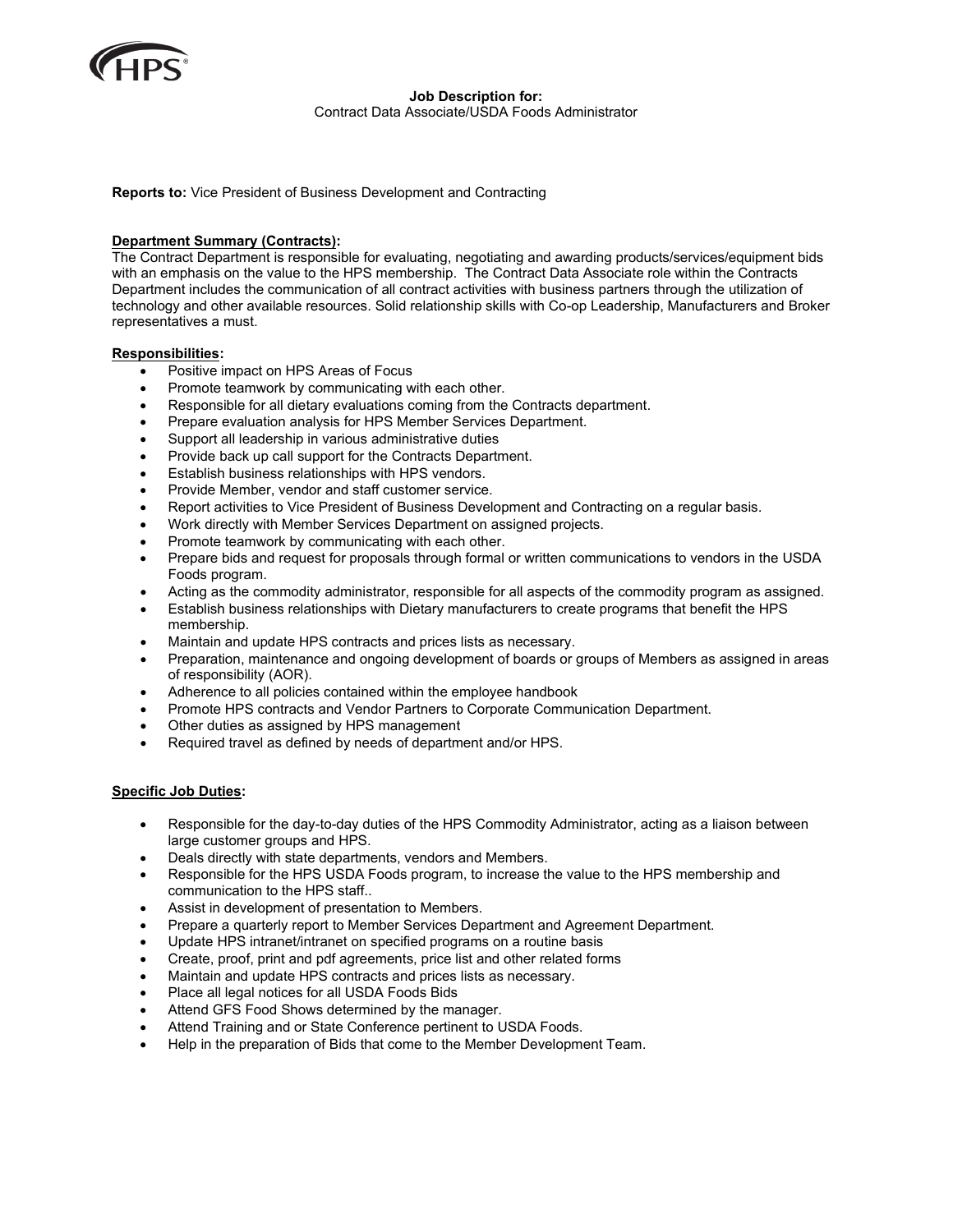

**Job Description for:** Contract Data Associate/USDA Foods Administrator

**Reports to:** Vice President of Business Development and Contracting

#### **Department Summary (Contracts):**

The Contract Department is responsible for evaluating, negotiating and awarding products/services/equipment bids with an emphasis on the value to the HPS membership. The Contract Data Associate role within the Contracts Department includes the communication of all contract activities with business partners through the utilization of technology and other available resources. Solid relationship skills with Co-op Leadership, Manufacturers and Broker representatives a must.

#### **Responsibilities:**

- Positive impact on HPS Areas of Focus
- Promote teamwork by communicating with each other.
- Responsible for all dietary evaluations coming from the Contracts department.
- Prepare evaluation analysis for HPS Member Services Department.
- Support all leadership in various administrative duties
- Provide back up call support for the Contracts Department.
- Establish business relationships with HPS vendors.
- Provide Member, vendor and staff customer service.
- Report activities to Vice President of Business Development and Contracting on a regular basis.
- Work directly with Member Services Department on assigned projects.
- Promote teamwork by communicating with each other.
- Prepare bids and request for proposals through formal or written communications to vendors in the USDA Foods program.
- Acting as the commodity administrator, responsible for all aspects of the commodity program as assigned.
- Establish business relationships with Dietary manufacturers to create programs that benefit the HPS membership.
- Maintain and update HPS contracts and prices lists as necessary.
- Preparation, maintenance and ongoing development of boards or groups of Members as assigned in areas of responsibility (AOR).
- Adherence to all policies contained within the employee handbook
- Promote HPS contracts and Vendor Partners to Corporate Communication Department.
- Other duties as assigned by HPS management
- Required travel as defined by needs of department and/or HPS.

#### **Specific Job Duties:**

- Responsible for the day-to-day duties of the HPS Commodity Administrator, acting as a liaison between large customer groups and HPS.
- Deals directly with state departments, vendors and Members.
- Responsible for the HPS USDA Foods program, to increase the value to the HPS membership and communication to the HPS staff..
- Assist in development of presentation to Members.
- Prepare a quarterly report to Member Services Department and Agreement Department.
- Update HPS intranet/intranet on specified programs on a routine basis
- Create, proof, print and pdf agreements, price list and other related forms
- Maintain and update HPS contracts and prices lists as necessary.
- Place all legal notices for all USDA Foods Bids
- Attend GFS Food Shows determined by the manager.
- Attend Training and or State Conference pertinent to USDA Foods.
- Help in the preparation of Bids that come to the Member Development Team.